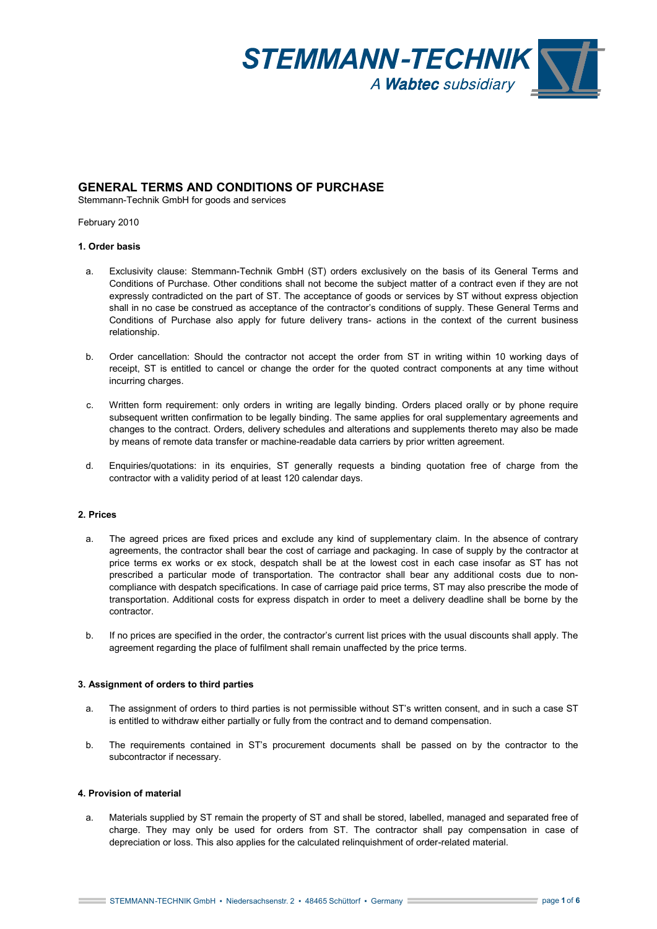

# **GENERAL TERMS AND CONDITIONS OF PURCHASE**

Stemmann-Technik GmbH for goods and services

February 2010

# **1. Order basis**

- a. Exclusivity clause: Stemmann-Technik GmbH (ST) orders exclusively on the basis of its General Terms and Conditions of Purchase. Other conditions shall not become the subject matter of a contract even if they are not expressly contradicted on the part of ST. The acceptance of goods or services by ST without express objection shall in no case be construed as acceptance of the contractor's conditions of supply. These General Terms and Conditions of Purchase also apply for future delivery trans- actions in the context of the current business relationship.
- b. Order cancellation: Should the contractor not accept the order from ST in writing within 10 working days of receipt, ST is entitled to cancel or change the order for the quoted contract components at any time without incurring charges.
- c. Written form requirement: only orders in writing are legally binding. Orders placed orally or by phone require subsequent written confirmation to be legally binding. The same applies for oral supplementary agreements and changes to the contract. Orders, delivery schedules and alterations and supplements thereto may also be made by means of remote data transfer or machine-readable data carriers by prior written agreement.
- d. Enquiries/quotations: in its enquiries, ST generally requests a binding quotation free of charge from the contractor with a validity period of at least 120 calendar days.

# **2. Prices**

- a. The agreed prices are fixed prices and exclude any kind of supplementary claim. In the absence of contrary agreements, the contractor shall bear the cost of carriage and packaging. In case of supply by the contractor at price terms ex works or ex stock, despatch shall be at the lowest cost in each case insofar as ST has not prescribed a particular mode of transportation. The contractor shall bear any additional costs due to noncompliance with despatch specifications. In case of carriage paid price terms, ST may also prescribe the mode of transportation. Additional costs for express dispatch in order to meet a delivery deadline shall be borne by the contractor.
- b. If no prices are specified in the order, the contractor's current list prices with the usual discounts shall apply. The agreement regarding the place of fulfilment shall remain unaffected by the price terms.

# **3. Assignment of orders to third parties**

- a. The assignment of orders to third parties is not permissible without ST's written consent, and in such a case ST is entitled to withdraw either partially or fully from the contract and to demand compensation.
- b. The requirements contained in ST's procurement documents shall be passed on by the contractor to the subcontractor if necessary.

# **4. Provision of material**

a. Materials supplied by ST remain the property of ST and shall be stored, labelled, managed and separated free of charge. They may only be used for orders from ST. The contractor shall pay compensation in case of depreciation or loss. This also applies for the calculated relinquishment of order-related material.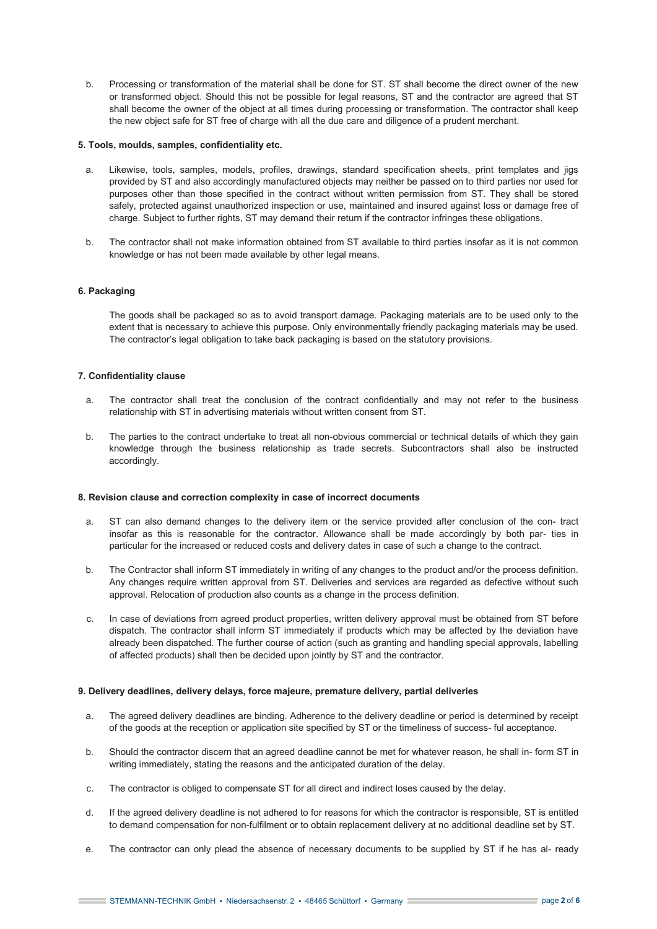b. Processing or transformation of the material shall be done for ST. ST shall become the direct owner of the new or transformed object. Should this not be possible for legal reasons, ST and the contractor are agreed that ST shall become the owner of the object at all times during processing or transformation. The contractor shall keep the new object safe for ST free of charge with all the due care and diligence of a prudent merchant.

## **5. Tools, moulds, samples, confidentiality etc.**

- a. Likewise, tools, samples, models, profiles, drawings, standard specification sheets, print templates and jigs provided by ST and also accordingly manufactured objects may neither be passed on to third parties nor used for purposes other than those specified in the contract without written permission from ST. They shall be stored safely, protected against unauthorized inspection or use, maintained and insured against loss or damage free of charge. Subject to further rights, ST may demand their return if the contractor infringes these obligations.
- b. The contractor shall not make information obtained from ST available to third parties insofar as it is not common knowledge or has not been made available by other legal means.

# **6. Packaging**

The goods shall be packaged so as to avoid transport damage. Packaging materials are to be used only to the extent that is necessary to achieve this purpose. Only environmentally friendly packaging materials may be used. The contractor's legal obligation to take back packaging is based on the statutory provisions.

# **7. Confidentiality clause**

- a. The contractor shall treat the conclusion of the contract confidentially and may not refer to the business relationship with ST in advertising materials without written consent from ST.
- b. The parties to the contract undertake to treat all non-obvious commercial or technical details of which they gain knowledge through the business relationship as trade secrets. Subcontractors shall also be instructed accordingly.

### **8. Revision clause and correction complexity in case of incorrect documents**

- a. ST can also demand changes to the delivery item or the service provided after conclusion of the con- tract insofar as this is reasonable for the contractor. Allowance shall be made accordingly by both par- ties in particular for the increased or reduced costs and delivery dates in case of such a change to the contract.
- b. The Contractor shall inform ST immediately in writing of any changes to the product and/or the process definition. Any changes require written approval from ST. Deliveries and services are regarded as defective without such approval. Relocation of production also counts as a change in the process definition.
- c. In case of deviations from agreed product properties, written delivery approval must be obtained from ST before dispatch. The contractor shall inform ST immediately if products which may be affected by the deviation have already been dispatched. The further course of action (such as granting and handling special approvals, labelling of affected products) shall then be decided upon jointly by ST and the contractor.

### **9. Delivery deadlines, delivery delays, force majeure, premature delivery, partial deliveries**

- a. The agreed delivery deadlines are binding. Adherence to the delivery deadline or period is determined by receipt of the goods at the reception or application site specified by ST or the timeliness of success- ful acceptance.
- b. Should the contractor discern that an agreed deadline cannot be met for whatever reason, he shall in- form ST in writing immediately, stating the reasons and the anticipated duration of the delay.
- c. The contractor is obliged to compensate ST for all direct and indirect loses caused by the delay.
- d. If the agreed delivery deadline is not adhered to for reasons for which the contractor is responsible, ST is entitled to demand compensation for non-fulfilment or to obtain replacement delivery at no additional deadline set by ST.
- e. The contractor can only plead the absence of necessary documents to be supplied by ST if he has al- ready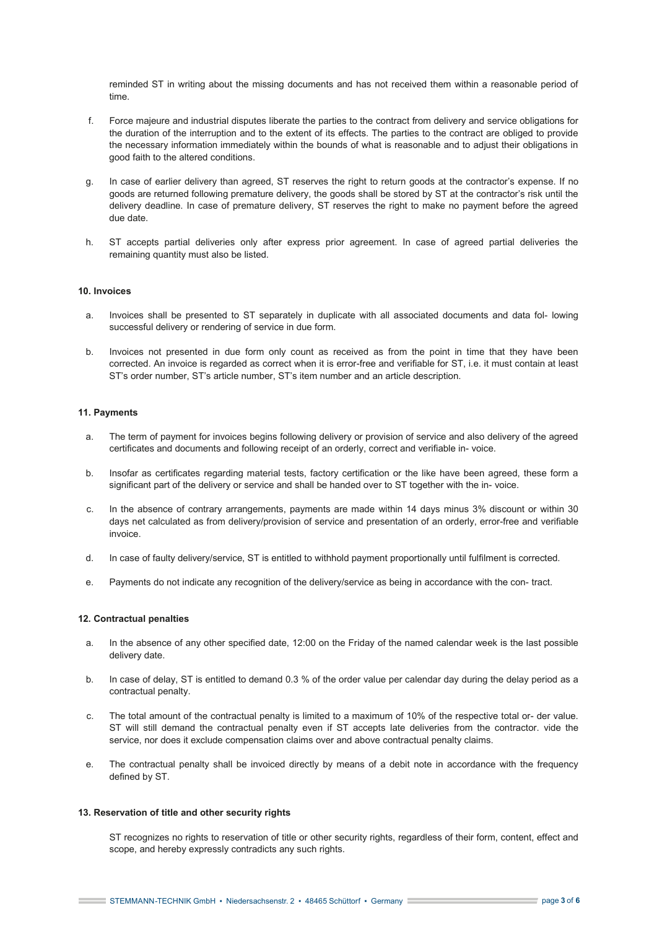reminded ST in writing about the missing documents and has not received them within a reasonable period of time.

- f. Force majeure and industrial disputes liberate the parties to the contract from delivery and service obligations for the duration of the interruption and to the extent of its effects. The parties to the contract are obliged to provide the necessary information immediately within the bounds of what is reasonable and to adjust their obligations in good faith to the altered conditions.
- g. In case of earlier delivery than agreed, ST reserves the right to return goods at the contractor's expense. If no goods are returned following premature delivery, the goods shall be stored by ST at the contractor's risk until the delivery deadline. In case of premature delivery, ST reserves the right to make no payment before the agreed due date.
- h. ST accepts partial deliveries only after express prior agreement. In case of agreed partial deliveries the remaining quantity must also be listed.

### **10. Invoices**

- a. Invoices shall be presented to ST separately in duplicate with all associated documents and data fol- lowing successful delivery or rendering of service in due form.
- b. Invoices not presented in due form only count as received as from the point in time that they have been corrected. An invoice is regarded as correct when it is error-free and verifiable for ST, i.e. it must contain at least ST's order number, ST's article number, ST's item number and an article description.

### **11. Payments**

- a. The term of payment for invoices begins following delivery or provision of service and also delivery of the agreed certificates and documents and following receipt of an orderly, correct and verifiable in- voice.
- b. Insofar as certificates regarding material tests, factory certification or the like have been agreed, these form a significant part of the delivery or service and shall be handed over to ST together with the in- voice.
- c. In the absence of contrary arrangements, payments are made within 14 days minus 3% discount or within 30 days net calculated as from delivery/provision of service and presentation of an orderly, error-free and verifiable invoice.
- d. In case of faulty delivery/service, ST is entitled to withhold payment proportionally until fulfilment is corrected.
- e. Payments do not indicate any recognition of the delivery/service as being in accordance with the con- tract.

#### **12. Contractual penalties**

- a. In the absence of any other specified date, 12:00 on the Friday of the named calendar week is the last possible delivery date.
- b. In case of delay, ST is entitled to demand 0.3 % of the order value per calendar day during the delay period as a contractual penalty.
- c. The total amount of the contractual penalty is limited to a maximum of 10% of the respective total or- der value. ST will still demand the contractual penalty even if ST accepts late deliveries from the contractor. vide the service, nor does it exclude compensation claims over and above contractual penalty claims.
- e. The contractual penalty shall be invoiced directly by means of a debit note in accordance with the frequency defined by ST.

### **13. Reservation of title and other security rights**

ST recognizes no rights to reservation of title or other security rights, regardless of their form, content, effect and scope, and hereby expressly contradicts any such rights.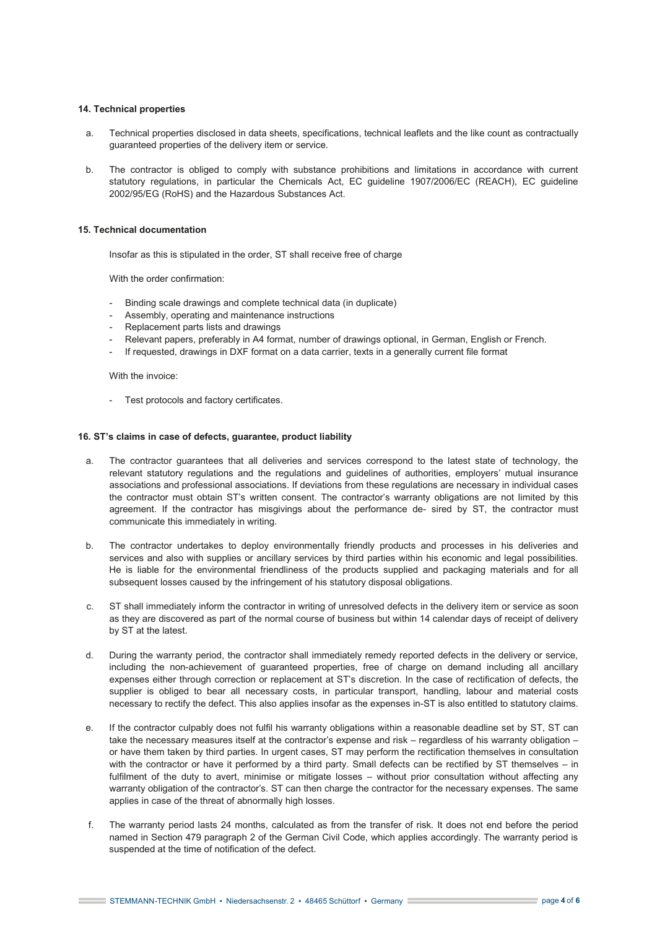# **14. Technical properties**

- a. Technical properties disclosed in data sheets, specifications, technical leaflets and the like count as contractually guaranteed properties of the delivery item or service.
- b. The contractor is obliged to comply with substance prohibitions and limitations in accordance with current statutory regulations, in particular the Chemicals Act, EC guideline 1907/2006/EC (REACH), EC guideline 2002/95/EG (RoHS) and the Hazardous Substances Act.

# **15. Technical documentation**

Insofar as this is stipulated in the order, ST shall receive free of charge

With the order confirmation:

- Binding scale drawings and complete technical data (in duplicate)
- Assembly, operating and maintenance instructions
- Replacement parts lists and drawings
- Relevant papers, preferably in A4 format, number of drawings optional, in German, English or French.
- If requested, drawings in DXF format on a data carrier, texts in a generally current file format

With the invoice:

Test protocols and factory certificates.

# **16. ST's claims in case of defects, guarantee, product liability**

- a. The contractor guarantees that all deliveries and services correspond to the latest state of technology, the relevant statutory regulations and the regulations and guidelines of authorities, employers' mutual insurance associations and professional associations. If deviations from these regulations are necessary in individual cases the contractor must obtain ST's written consent. The contractor's warranty obligations are not limited by this agreement. If the contractor has misgivings about the performance de- sired by ST, the contractor must communicate this immediately in writing.
- b. The contractor undertakes to deploy environmentally friendly products and processes in his deliveries and services and also with supplies or ancillary services by third parties within his economic and legal possibilities. He is liable for the environmental friendliness of the products supplied and packaging materials and for all subsequent losses caused by the infringement of his statutory disposal obligations.
- c. ST shall immediately inform the contractor in writing of unresolved defects in the delivery item or service as soon as they are discovered as part of the normal course of business but within 14 calendar days of receipt of delivery by ST at the latest.
- d. During the warranty period, the contractor shall immediately remedy reported defects in the delivery or service, including the non-achievement of guaranteed properties, free of charge on demand including all ancillary expenses either through correction or replacement at ST's discretion. In the case of rectification of defects, the supplier is obliged to bear all necessary costs, in particular transport, handling, labour and material costs necessary to rectify the defect. This also applies insofar as the expenses in-ST is also entitled to statutory claims.
- e. If the contractor culpably does not fulfil his warranty obligations within a reasonable deadline set by ST, ST can take the necessary measures itself at the contractor's expense and risk – regardless of his warranty obligation – or have them taken by third parties. In urgent cases, ST may perform the rectification themselves in consultation with the contractor or have it performed by a third party. Small defects can be rectified by ST themselves – in fulfilment of the duty to avert, minimise or mitigate losses – without prior consultation without affecting any warranty obligation of the contractor's. ST can then charge the contractor for the necessary expenses. The same applies in case of the threat of abnormally high losses.
- f. The warranty period lasts 24 months, calculated as from the transfer of risk. It does not end before the period named in Section 479 paragraph 2 of the German Civil Code, which applies accordingly. The warranty period is suspended at the time of notification of the defect.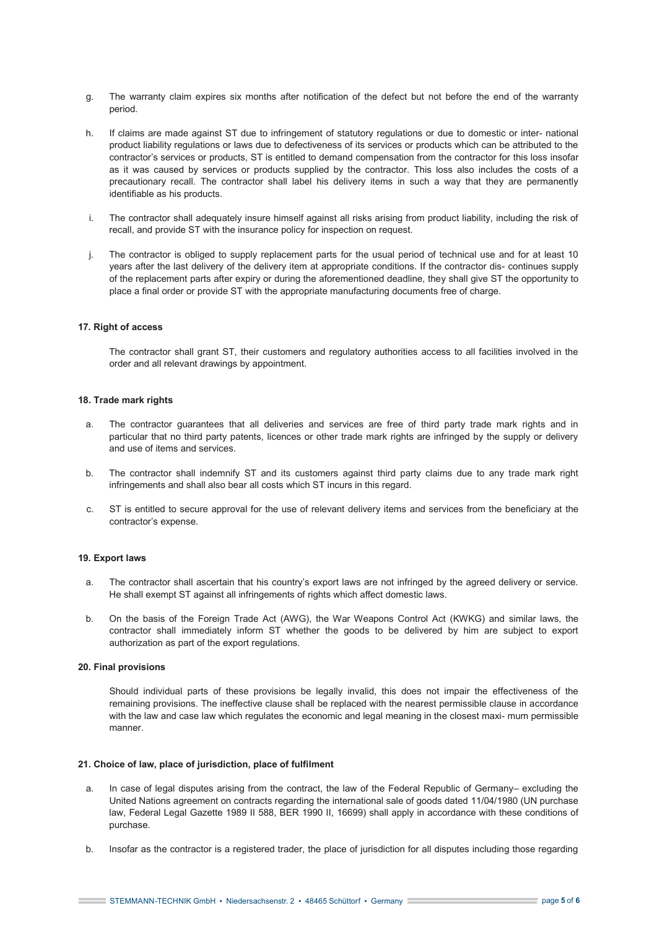- g. The warranty claim expires six months after notification of the defect but not before the end of the warranty period.
- h. If claims are made against ST due to infringement of statutory regulations or due to domestic or inter- national product liability regulations or laws due to defectiveness of its services or products which can be attributed to the contractor's services or products, ST is entitled to demand compensation from the contractor for this loss insofar as it was caused by services or products supplied by the contractor. This loss also includes the costs of a precautionary recall. The contractor shall label his delivery items in such a way that they are permanently identifiable as his products.
- i. The contractor shall adequately insure himself against all risks arising from product liability, including the risk of recall, and provide ST with the insurance policy for inspection on request.
- j. The contractor is obliged to supply replacement parts for the usual period of technical use and for at least 10 years after the last delivery of the delivery item at appropriate conditions. If the contractor dis- continues supply of the replacement parts after expiry or during the aforementioned deadline, they shall give ST the opportunity to place a final order or provide ST with the appropriate manufacturing documents free of charge.

# **17. Right of access**

The contractor shall grant ST, their customers and regulatory authorities access to all facilities involved in the order and all relevant drawings by appointment.

# **18. Trade mark rights**

- a. The contractor guarantees that all deliveries and services are free of third party trade mark rights and in particular that no third party patents, licences or other trade mark rights are infringed by the supply or delivery and use of items and services.
- b. The contractor shall indemnify ST and its customers against third party claims due to any trade mark right infringements and shall also bear all costs which ST incurs in this regard.
- c. ST is entitled to secure approval for the use of relevant delivery items and services from the beneficiary at the contractor's expense.

# **19. Export laws**

- a. The contractor shall ascertain that his country's export laws are not infringed by the agreed delivery or service. He shall exempt ST against all infringements of rights which affect domestic laws.
- b. On the basis of the Foreign Trade Act (AWG), the War Weapons Control Act (KWKG) and similar laws, the contractor shall immediately inform ST whether the goods to be delivered by him are subject to export authorization as part of the export regulations.

### **20. Final provisions**

Should individual parts of these provisions be legally invalid, this does not impair the effectiveness of the remaining provisions. The ineffective clause shall be replaced with the nearest permissible clause in accordance with the law and case law which regulates the economic and legal meaning in the closest maxi- mum permissible manner.

# **21. Choice of law, place of jurisdiction, place of fulfilment**

- a. In case of legal disputes arising from the contract, the law of the Federal Republic of Germany– excluding the United Nations agreement on contracts regarding the international sale of goods dated 11/04/1980 (UN purchase law, Federal Legal Gazette 1989 II 588, BER 1990 II, 16699) shall apply in accordance with these conditions of purchase.
- b. Insofar as the contractor is a registered trader, the place of jurisdiction for all disputes including those regarding